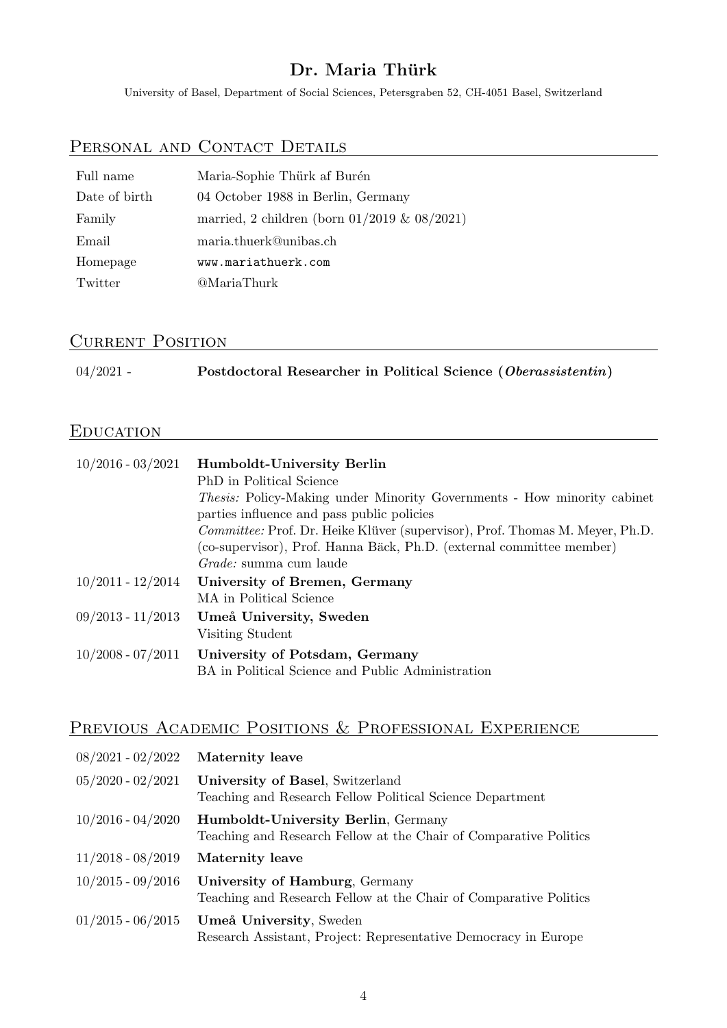## Dr. Maria Thürk

University of Basel, Department of Social Sciences, Petersgraben 52, CH-4051 Basel, Switzerland

# PERSONAL AND CONTACT DETAILS

| Full name     | Maria-Sophie Thürk af Burén                       |
|---------------|---------------------------------------------------|
| Date of birth | 04 October 1988 in Berlin, Germany                |
| Family        | married, 2 children (born $01/2019$ & $08/2021$ ) |
| Email         | maria.thuerk@unibas.ch                            |
| Homepage      | www.mariathuerk.com                               |
| Twitter       | @MariaThurk                                       |

## CURRENT POSITION

| $04/2021$ - | Postdoctoral Researcher in Political Science (Oberassistentin) |  |
|-------------|----------------------------------------------------------------|--|
|-------------|----------------------------------------------------------------|--|

### **EDUCATION**

| $10/2016 - 03/2021$   | Humboldt-University Berlin<br>PhD in Political Science<br><i>Thesis:</i> Policy-Making under Minority Governments - How minority cabinet<br>parties influence and pass public policies<br><i>Committee:</i> Prof. Dr. Heike Klüver (supervisor), Prof. Thomas M. Meyer, Ph.D.<br>(co-supervisor), Prof. Hanna Bäck, Ph.D. (external committee member)<br><i>Grade:</i> summa cum laude |
|-----------------------|----------------------------------------------------------------------------------------------------------------------------------------------------------------------------------------------------------------------------------------------------------------------------------------------------------------------------------------------------------------------------------------|
| $10/2011$ - $12/2014$ | University of Bremen, Germany<br>MA in Political Science                                                                                                                                                                                                                                                                                                                               |
| $09/2013 - 11/2013$   | Umeå University, Sweden<br>Visiting Student                                                                                                                                                                                                                                                                                                                                            |
| $10/2008 - 07/2011$   | University of Potsdam, Germany<br>BA in Political Science and Public Administration                                                                                                                                                                                                                                                                                                    |

# PREVIOUS ACADEMIC POSITIONS & PROFESSIONAL EXPERIENCE

| $08/2021 - 02/2022$   | <b>Maternity</b> leave                                                                                          |
|-----------------------|-----------------------------------------------------------------------------------------------------------------|
| $05/2020 - 02/2021$   | University of Basel, Switzerland<br>Teaching and Research Fellow Political Science Department                   |
| $10/2016$ - $04/2020$ | <b>Humboldt-University Berlin, Germany</b><br>Teaching and Research Fellow at the Chair of Comparative Politics |
| $11/2018 - 08/2019$   | Maternity leave                                                                                                 |
| $10/2015$ - $09/2016$ | University of Hamburg, Germany<br>Teaching and Research Fellow at the Chair of Comparative Politics             |
| $01/2015 - 06/2015$   | Umeå University, Sweden<br>Research Assistant, Project: Representative Democracy in Europe                      |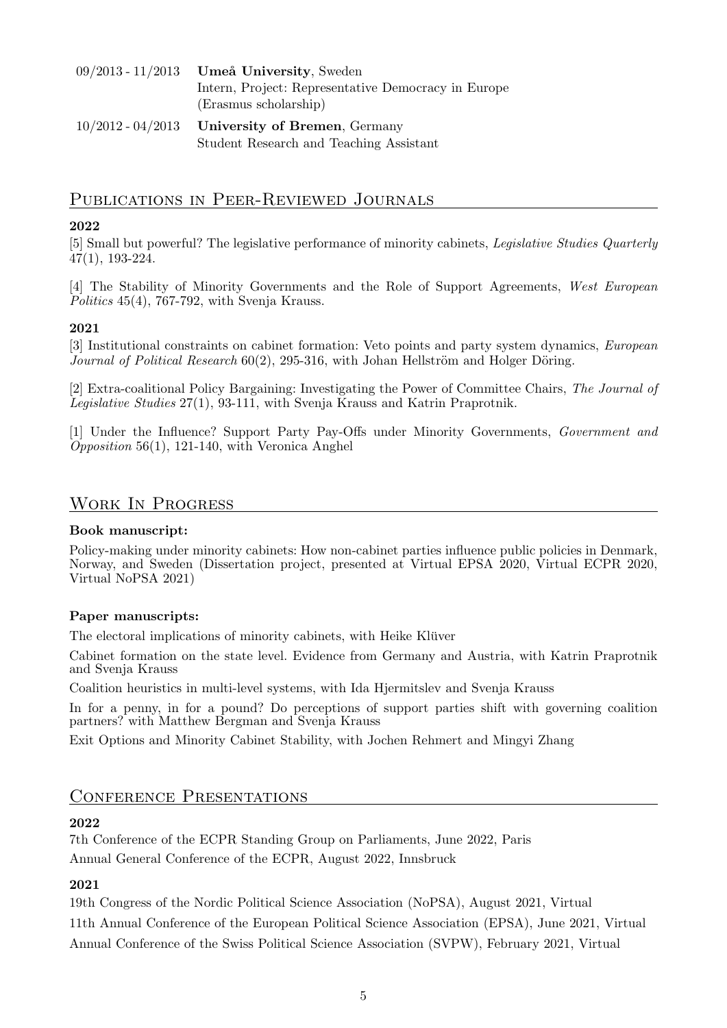| $09/2013 - 11/2013$ Umeå University, Sweden         |
|-----------------------------------------------------|
| Intern, Project: Representative Democracy in Europe |
| (Erasmus scholarship)                               |
| $10/2012 - 04/2013$ University of Bremen, Germany   |
| Student Research and Teaching Assistant             |

#### Publications in Peer-Reviewed Journals

#### 2022

[5] Small but powerful? The legislative performance of minority cabinets, [Legislative Studies Quarterly](https://onlinelibrary.wiley.com/doi/full/10.1111/lsq.12329) 47(1), 193-224.

[4] The Stability of Minority Governments and the Role of Support Agreements, [West European](https://www.tandfonline.com/doi/full/10.1080/01402382.2021.1890455) [Politics](https://www.tandfonline.com/doi/full/10.1080/01402382.2021.1890455) 45(4), 767-792, with Svenja Krauss.

#### 2021

[3] Institutional constraints on cabinet formation: Veto points and party system dynamics, [European](https://ejpr.onlinelibrary.wiley.com/doi/full/10.1111/1475-6765.12407) [Journal of Political Research](https://ejpr.onlinelibrary.wiley.com/doi/full/10.1111/1475-6765.12407)  $60(2)$ , 295-316, with Johan Hellström and Holger Döring.

[2] Extra-coalitional Policy Bargaining: Investigating the Power of Committee Chairs, [The Journal of](https://www.tandfonline.com/doi/full/10.1080/13572334.2020.1809214) [Legislative Studies](https://www.tandfonline.com/doi/full/10.1080/13572334.2020.1809214) 27(1), 93-111, with Svenja Krauss and Katrin Praprotnik.

[1] Under the Influence? Support Party Pay-Offs under Minority Governments, [Government and](https://www.cambridge.org/core/journals/government-and-opposition/article/under-the-influence-payoffs-to-legislative-support-parties-under-minority-governments/0655E982AC95FF9E92367DA14B7A613C) [Opposition](https://www.cambridge.org/core/journals/government-and-opposition/article/under-the-influence-payoffs-to-legislative-support-parties-under-minority-governments/0655E982AC95FF9E92367DA14B7A613C) 56(1), 121-140, with Veronica Anghel

### Work In Progress

#### Book manuscript:

Policy-making under minority cabinets: How non-cabinet parties influence public policies in Denmark, Norway, and Sweden (Dissertation project, presented at Virtual EPSA 2020, Virtual ECPR 2020, Virtual NoPSA 2021)

#### Paper manuscripts:

The electoral implications of minority cabinets, with Heike Klüver

Cabinet formation on the state level. Evidence from Germany and Austria, with Katrin Praprotnik and Svenja Krauss

Coalition heuristics in multi-level systems, with Ida Hjermitslev and Svenja Krauss

In for a penny, in for a pound? Do perceptions of support parties shift with governing coalition partners? with Matthew Bergman and Svenja Krauss

Exit Options and Minority Cabinet Stability, with Jochen Rehmert and Mingyi Zhang

#### CONFERENCE PRESENTATIONS

#### 2022

7th Conference of the ECPR Standing Group on Parliaments, June 2022, Paris Annual General Conference of the ECPR, August 2022, Innsbruck

#### 2021

19th Congress of the Nordic Political Science Association (NoPSA), August 2021, Virtual

11th Annual Conference of the European Political Science Association (EPSA), June 2021, Virtual Annual Conference of the Swiss Political Science Association (SVPW), February 2021, Virtual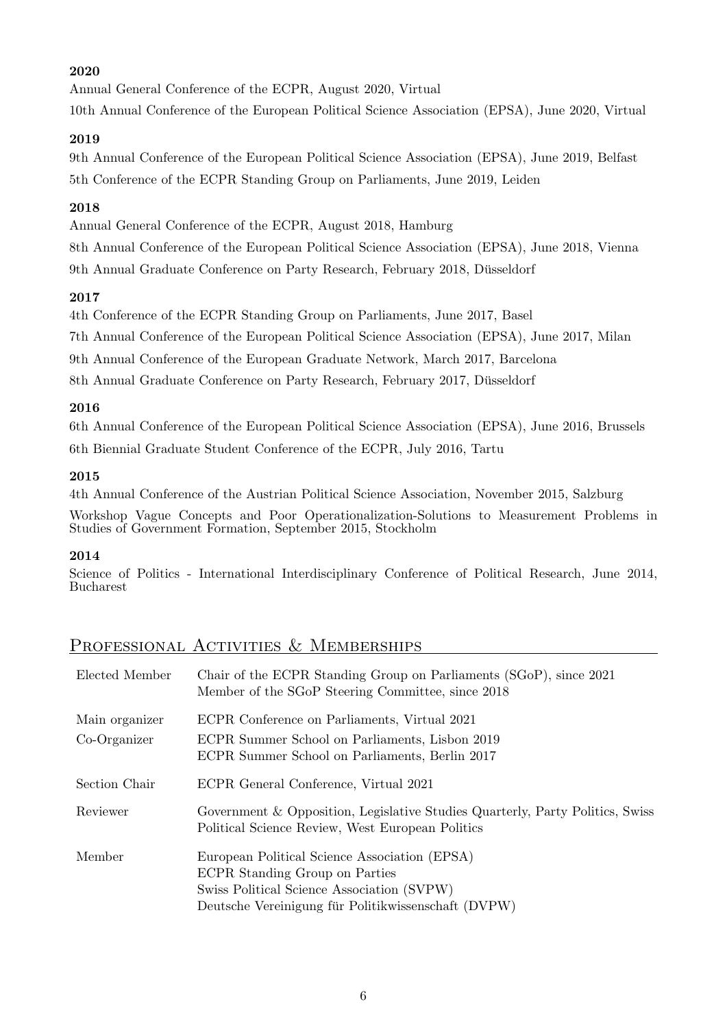#### 2020

Annual General Conference of the ECPR, August 2020, Virtual

10th Annual Conference of the European Political Science Association (EPSA), June 2020, Virtual

#### 2019

9th Annual Conference of the European Political Science Association (EPSA), June 2019, Belfast 5th Conference of the ECPR Standing Group on Parliaments, June 2019, Leiden

#### 2018

Annual General Conference of the ECPR, August 2018, Hamburg

8th Annual Conference of the European Political Science Association (EPSA), June 2018, Vienna 9th Annual Graduate Conference on Party Research, February 2018, Dusseldorf ¨

#### 2017

4th Conference of the ECPR Standing Group on Parliaments, June 2017, Basel

7th Annual Conference of the European Political Science Association (EPSA), June 2017, Milan

9th Annual Conference of the European Graduate Network, March 2017, Barcelona

8th Annual Graduate Conference on Party Research, February 2017, Dusseldorf ¨

#### 2016

6th Annual Conference of the European Political Science Association (EPSA), June 2016, Brussels 6th Biennial Graduate Student Conference of the ECPR, July 2016, Tartu

#### 2015

4th Annual Conference of the Austrian Political Science Association, November 2015, Salzburg

Workshop Vague Concepts and Poor Operationalization-Solutions to Measurement Problems in Studies of Government Formation, September 2015, Stockholm

#### 2014

Science of Politics - International Interdisciplinary Conference of Political Research, June 2014, Bucharest

## PROFESSIONAL ACTIVITIES & MEMBERSHIPS

| Elected Member | Chair of the ECPR Standing Group on Parliaments (SGoP), since 2021<br>Member of the SGoP Steering Committee, since 2018                                                              |
|----------------|--------------------------------------------------------------------------------------------------------------------------------------------------------------------------------------|
| Main organizer | ECPR Conference on Parliaments, Virtual 2021                                                                                                                                         |
| $Co-Organizer$ | ECPR Summer School on Parliaments, Lisbon 2019<br>ECPR Summer School on Parliaments, Berlin 2017                                                                                     |
| Section Chair  | ECPR General Conference, Virtual 2021                                                                                                                                                |
| Reviewer       | Government & Opposition, Legislative Studies Quarterly, Party Politics, Swiss<br>Political Science Review, West European Politics                                                    |
| Member         | European Political Science Association (EPSA)<br>ECPR Standing Group on Parties<br>Swiss Political Science Association (SVPW)<br>Deutsche Vereinigung für Politikwissenschaft (DVPW) |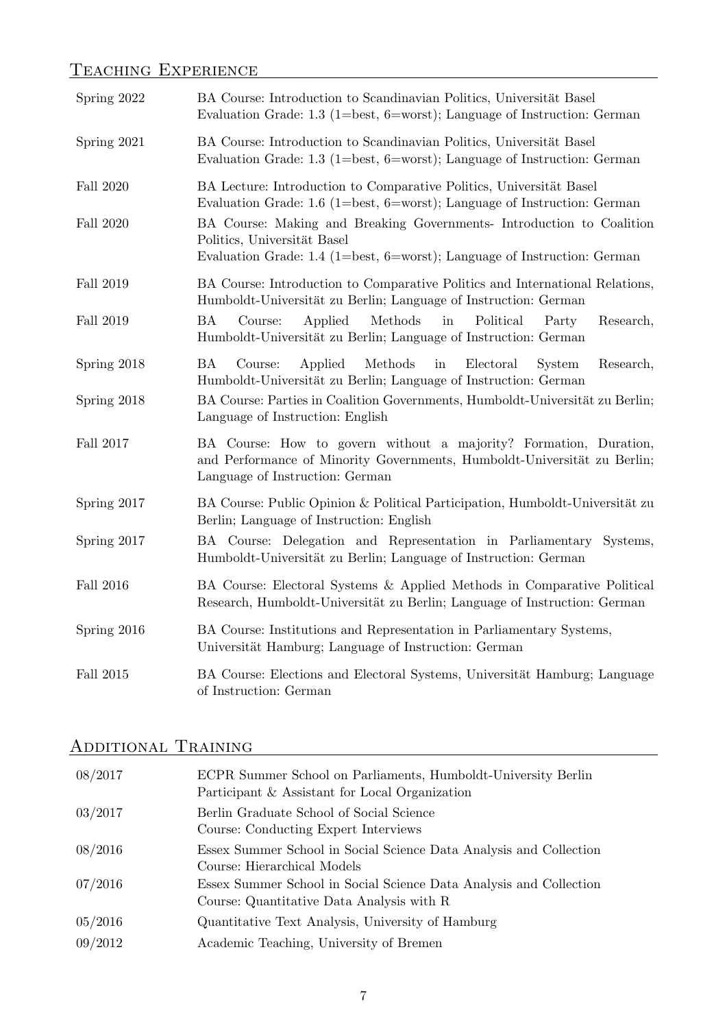# TEACHING EXPERIENCE **EXPERIENCE**

| Spring 2022 | BA Course: Introduction to Scandinavian Politics, Universität Basel<br>Evaluation Grade: 1.3 (1=best, 6=worst); Language of Instruction: German                                  |
|-------------|----------------------------------------------------------------------------------------------------------------------------------------------------------------------------------|
| Spring 2021 | BA Course: Introduction to Scandinavian Politics, Universität Basel<br>Evaluation Grade: 1.3 (1=best, 6=worst); Language of Instruction: German                                  |
| Fall 2020   | BA Lecture: Introduction to Comparative Politics, Universität Basel<br>Evaluation Grade: 1.6 (1=best, 6=worst); Language of Instruction: German                                  |
| Fall 2020   | BA Course: Making and Breaking Governments- Introduction to Coalition<br>Politics, Universität Basel<br>Evaluation Grade: 1.4 (1=best, 6=worst); Language of Instruction: German |
| Fall 2019   | BA Course: Introduction to Comparative Politics and International Relations,<br>Humboldt-Universität zu Berlin; Language of Instruction: German                                  |
| Fall 2019   | <b>BA</b><br>Course:<br>Applied<br>Methods<br>Political<br>in<br>Research,<br>Party<br>Humboldt-Universität zu Berlin; Language of Instruction: German                           |
| Spring 2018 | BA<br>Applied<br>Methods<br>Research,<br>Course:<br>in<br>Electoral<br>System<br>Humboldt-Universität zu Berlin; Language of Instruction: German                                 |
| Spring 2018 | BA Course: Parties in Coalition Governments, Humboldt-Universität zu Berlin;<br>Language of Instruction: English                                                                 |
| Fall 2017   | BA Course: How to govern without a majority? Formation, Duration,<br>and Performance of Minority Governments, Humboldt-Universität zu Berlin;<br>Language of Instruction: German |
| Spring 2017 | BA Course: Public Opinion & Political Participation, Humboldt-Universität zu<br>Berlin; Language of Instruction: English                                                         |
| Spring 2017 | BA Course: Delegation and Representation in Parliamentary<br>Systems,<br>Humboldt-Universität zu Berlin; Language of Instruction: German                                         |
| Fall 2016   | BA Course: Electoral Systems & Applied Methods in Comparative Political<br>Research, Humboldt-Universität zu Berlin; Language of Instruction: German                             |
| Spring 2016 | BA Course: Institutions and Representation in Parliamentary Systems,<br>Universität Hamburg; Language of Instruction: German                                                     |
| Fall 2015   | BA Course: Elections and Electoral Systems, Universität Hamburg; Language<br>of Instruction: German                                                                              |

# Additional Training

| 08/2017 | ECPR Summer School on Parliaments, Humboldt-University Berlin<br>Participant & Assistant for Local Organization |
|---------|-----------------------------------------------------------------------------------------------------------------|
| 03/2017 | Berlin Graduate School of Social Science<br>Course: Conducting Expert Interviews                                |
| 08/2016 | Essex Summer School in Social Science Data Analysis and Collection<br>Course: Hierarchical Models               |
| 07/2016 | Essex Summer School in Social Science Data Analysis and Collection<br>Course: Quantitative Data Analysis with R |
| 05/2016 | Quantitative Text Analysis, University of Hamburg                                                               |
| 09/2012 | Academic Teaching, University of Bremen                                                                         |